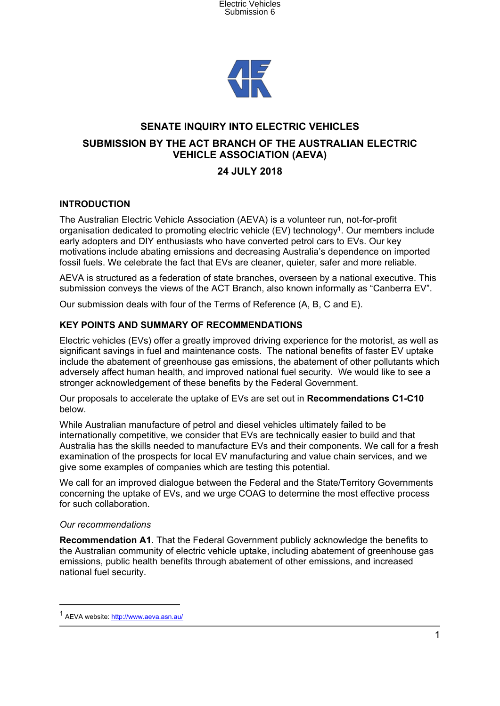



# **SENATE INQUIRY INTO ELECTRIC VEHICLES**

## **SUBMISSION BY THE ACT BRANCH OF THE AUSTRALIAN ELECTRIC VEHICLE ASSOCIATION (AEVA)**

# **24 JULY 2018**

## **INTRODUCTION**

The Australian Electric Vehicle Association (AEVA) is a volunteer run, not-for-profit organisation dedicated to promoting electric vehicle (EV) technology<sup>1</sup>. Our members include early adopters and DIY enthusiasts who have converted petrol cars to EVs. Our key motivations include abating emissions and decreasing Australia's dependence on imported fossil fuels. We celebrate the fact that EVs are cleaner, quieter, safer and more reliable.

AEVA is structured as a federation of state branches, overseen by a national executive. This submission conveys the views of the ACT Branch, also known informally as "Canberra EV".

Our submission deals with four of the Terms of Reference (A, B, C and E).

## **KEY POINTS AND SUMMARY OF RECOMMENDATIONS**

Electric vehicles (EVs) offer a greatly improved driving experience for the motorist, as well as significant savings in fuel and maintenance costs. The national benefits of faster EV uptake include the abatement of greenhouse gas emissions, the abatement of other pollutants which adversely affect human health, and improved national fuel security. We would like to see a stronger acknowledgement of these benefits by the Federal Government.

Our proposals to accelerate the uptake of EVs are set out in **Recommendations C1-C10** below.

While Australian manufacture of petrol and diesel vehicles ultimately failed to be internationally competitive, we consider that EVs are technically easier to build and that Australia has the skills needed to manufacture EVs and their components. We call for a fresh examination of the prospects for local EV manufacturing and value chain services, and we give some examples of companies which are testing this potential.

We call for an improved dialogue between the Federal and the State/Territory Governments concerning the uptake of EVs, and we urge COAG to determine the most effective process for such collaboration.

#### *Our recommendations*

**Recommendation A1**. That the Federal Government publicly acknowledge the benefits to the Australian community of electric vehicle uptake, including abatement of greenhouse gas emissions, public health benefits through abatement of other emissions, and increased national fuel security.

<sup>&</sup>lt;sup>1</sup> AEVA website: <http://www.aeva.asn.au/>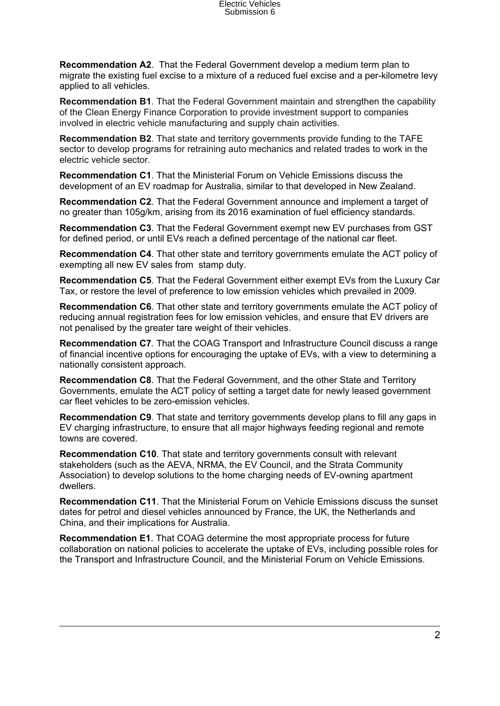**Recommendation A2**. That the Federal Government develop a medium term plan to migrate the existing fuel excise to a mixture of a reduced fuel excise and a per-kilometre levy applied to all vehicles.

**Recommendation B1**. That the Federal Government maintain and strengthen the capability of the Clean Energy Finance Corporation to provide investment support to companies involved in electric vehicle manufacturing and supply chain activities.

**Recommendation B2**. That state and territory governments provide funding to the TAFE sector to develop programs for retraining auto mechanics and related trades to work in the electric vehicle sector.

**Recommendation C1**. That the Ministerial Forum on Vehicle Emissions discuss the development of an EV roadmap for Australia, similar to that developed in New Zealand.

**Recommendation C2**. That the Federal Government announce and implement a target of no greater than 105g/km, arising from its 2016 examination of fuel efficiency standards.

**Recommendation C3**. That the Federal Government exempt new EV purchases from GST for defined period, or until EVs reach a defined percentage of the national car fleet.

**Recommendation C4**. That other state and territory governments emulate the ACT policy of exempting all new EV sales from stamp duty.

**Recommendation C5**. That the Federal Government either exempt EVs from the Luxury Car Tax, or restore the level of preference to low emission vehicles which prevailed in 2009.

**Recommendation C6**. That other state and territory governments emulate the ACT policy of reducing annual registration fees for low emission vehicles, and ensure that EV drivers are not penalised by the greater tare weight of their vehicles.

**Recommendation C7***.* That the COAG Transport and Infrastructure Council discuss a range of financial incentive options for encouraging the uptake of EVs, with a view to determining a nationally consistent approach.

**Recommendation C8**. That the Federal Government, and the other State and Territory Governments, emulate the ACT policy of setting a target date for newly leased government car fleet vehicles to be zero-emission vehicles.

**Recommendation C9**. That state and territory governments develop plans to fill any gaps in EV charging infrastructure, to ensure that all major highways feeding regional and remote towns are covered.

**Recommendation C10**. That state and territory governments consult with relevant stakeholders (such as the AEVA, NRMA, the EV Council, and the Strata Community Association) to develop solutions to the home charging needs of EV-owning apartment dwellers.

**Recommendation C11**. That the Ministerial Forum on Vehicle Emissions discuss the sunset dates for petrol and diesel vehicles announced by France, the UK, the Netherlands and China, and their implications for Australia.

**Recommendation E1**. That COAG determine the most appropriate process for future collaboration on national policies to accelerate the uptake of EVs, including possible roles for the Transport and Infrastructure Council, and the Ministerial Forum on Vehicle Emissions.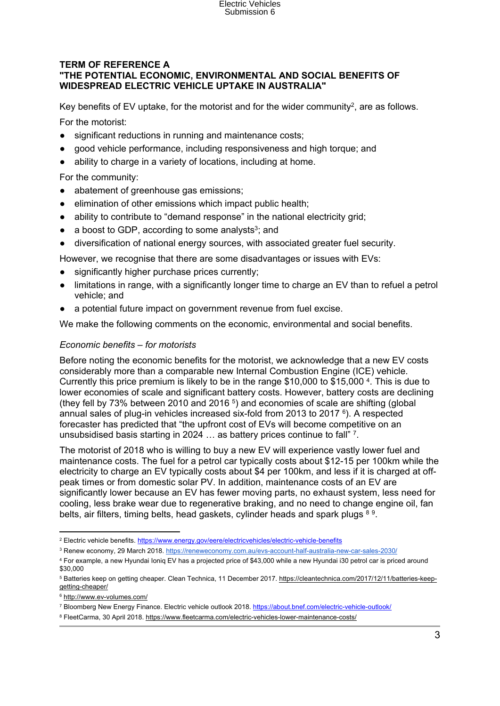# Electric Vehicles Submission 6

#### **TERM OF REFERENCE A "THE POTENTIAL ECONOMIC, ENVIRONMENTAL AND SOCIAL BENEFITS OF WIDESPREAD ELECTRIC VEHICLE UPTAKE IN AUSTRALIA"**

Key benefits of EV uptake, for the motorist and for the wider community<sup>2</sup>, are as follows.

For the motorist:

- significant reductions in running and maintenance costs;
- good vehicle performance, including responsiveness and high torque; and
- ability to charge in a variety of locations, including at home.

For the community:

- abatement of greenhouse gas emissions;
- elimination of other emissions which impact public health;
- ability to contribute to "demand response" in the national electricity grid;
- $\bullet$  a boost to GDP, according to some analysts<sup>3</sup>; and
- diversification of national energy sources, with associated greater fuel security.

However, we recognise that there are some disadvantages or issues with EVs:

- significantly higher purchase prices currently;
- limitations in range, with a significantly longer time to charge an EV than to refuel a petrol vehicle; and
- a potential future impact on government revenue from fuel excise.

We make the following comments on the economic, environmental and social benefits.

#### *Economic benefits – for motorists*

Before noting the economic benefits for the motorist, we acknowledge that a new EV costs considerably more than a comparable new Internal Combustion Engine (ICE) vehicle. Currently this price premium is likely to be in the range \$10,000 to \$15,000 <sup>4</sup> . This is due to lower economies of scale and significant battery costs. However, battery costs are declining (they fell by 73% between 2010 and 2016<sup>5</sup>) and economies of scale are shifting (global annual sales of plug-in vehicles increased six-fold from 2013 to 2017 <sup>6</sup>). A respected forecaster has predicted that "the upfront cost of EVs will become competitive on an unsubsidised basis starting in 2024 ... as battery prices continue to fall" 7.

The motorist of 2018 who is willing to buy a new EV will experience vastly lower fuel and maintenance costs. The fuel for a petrol car typically costs about \$12-15 per 100km while the electricity to charge an EV typically costs about \$4 per 100km, and less if it is charged at offpeak times or from domestic solar PV. In addition, maintenance costs of an EV are significantly lower because an EV has fewer moving parts, no exhaust system, less need for cooling, less brake wear due to regenerative braking, and no need to change engine oil, fan belts, air filters, timing belts, head gaskets, cylinder heads and spark plugs 8.9.

<sup>&</sup>lt;sup>2</sup> Electric vehicle benefits. <https://www.energy.gov/eere/electricvehicles/electric-vehicle-benefits>

<sup>3</sup> Renew economy, 29 March 2018. <https://reneweconomy.com.au/evs-account-half-australia-new-car-sales-2030/>

<sup>4</sup> For example, a new Hyundai Ioniq EV has a projected price of \$43,000 while a new Hyundai i30 petrol car is priced around \$30,000

<sup>5</sup> Batteries keep on getting cheaper. Clean Technica, 11 December 2017. [https://cleantechnica.com/2017/12/11/batteries-keep](https://cleantechnica.com/2017/12/11/batteries-keep-getting-cheaper/)[getting-cheaper/](https://cleantechnica.com/2017/12/11/batteries-keep-getting-cheaper/)

<sup>6</sup> <http://www.ev-volumes.com/>

<sup>7</sup> Bloomberg New Energy Finance. Electric vehicle outlook 2018. <https://about.bnef.com/electric-vehicle-outlook/>

<sup>8</sup> FleetCarma, 30 April 2018. <https://www.fleetcarma.com/electric-vehicles-lower-maintenance-costs/>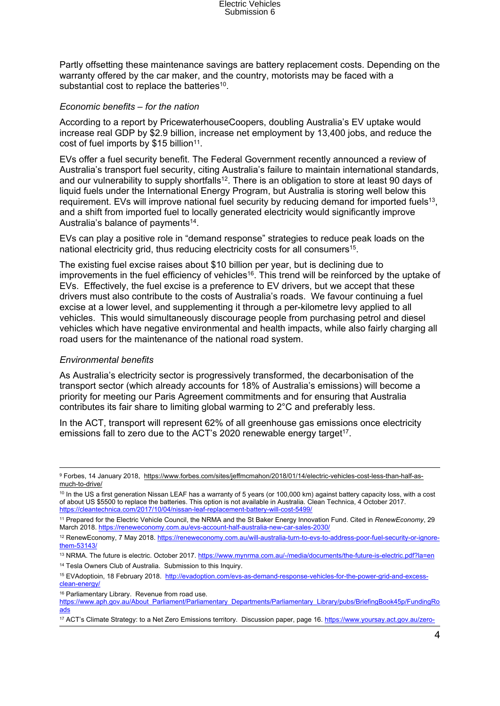Electric Vehicles<br>Submission 6

Partly offsetting these maintenance savings are battery replacement costs. Depending on the warranty offered by the car maker, and the country, motorists may be faced with a substantial cost to replace the batteries<sup>10</sup>.

#### *Economic benefits – for the nation*

According to a report by PricewaterhouseCoopers, doubling Australia's EV uptake would increase real GDP by \$2.9 billion, increase net employment by 13,400 jobs, and reduce the cost of fuel imports by \$15 billion<sup>11</sup>.

EVs offer a fuel security benefit. The Federal Government recently announced a review of Australia's transport fuel security, citing Australia's failure to maintain international standards, and our vulnerability to supply shortfalls<sup>12</sup>. There is an obligation to store at least 90 days of liquid fuels under the International Energy Program, but Australia is storing well below this requirement. EVs will improve national fuel security by reducing demand for imported fuels<sup>13</sup>, and a shift from imported fuel to locally generated electricity would significantly improve Australia's balance of payments<sup>14</sup>.

EVs can play a positive role in "demand response" strategies to reduce peak loads on the national electricity grid, thus reducing electricity costs for all consumers<sup>15</sup>.

The existing fuel excise raises about \$10 billion per year, but is declining due to improvements in the fuel efficiency of vehicles<sup>16</sup>. This trend will be reinforced by the uptake of EVs. Effectively, the fuel excise is a preference to EV drivers, but we accept that these drivers must also contribute to the costs of Australia's roads. We favour continuing a fuel excise at a lower level, and supplementing it through a per-kilometre levy applied to all vehicles. This would simultaneously discourage people from purchasing petrol and diesel vehicles which have negative environmental and health impacts, while also fairly charging all road users for the maintenance of the national road system.

#### *Environmental benefits*

As Australia's electricity sector is progressively transformed, the decarbonisation of the transport sector (which already accounts for 18% of Australia's emissions) will become a priority for meeting our Paris Agreement commitments and for ensuring that Australia contributes its fair share to limiting global warming to 2°C and preferably less.

In the ACT, transport will represent 62% of all greenhouse gas emissions once electricity emissions fall to zero due to the ACT's 2020 renewable energy target<sup>17</sup>.

16 Parliamentary Library. Revenue from road use.

<sup>9</sup> Forbes, 14 January 2018, [https://www.forbes.com/sites/jeffmcmahon/2018/01/14/electric-vehicles-cost-less-than-half-as](https://www.forbes.com/sites/jeffmcmahon/2018/01/14/electric-vehicles-cost-less-than-half-as-much-to-drive/)[much-to-drive/](https://www.forbes.com/sites/jeffmcmahon/2018/01/14/electric-vehicles-cost-less-than-half-as-much-to-drive/)

<sup>&</sup>lt;sup>10</sup> In the US a first generation Nissan LEAF has a warranty of 5 years (or 100,000 km) against battery capacity loss, with a cost of about US \$5500 to replace the batteries. This option is not available in Australia. Clean Technica, 4 October 2017. <https://cleantechnica.com/2017/10/04/nissan-leaf-replacement-battery-will-cost-5499/>

<sup>11</sup> Prepared for the Electric Vehicle Council, the NRMA and the St Baker Energy Innovation Fund. Cited in *RenewEconomy*, 29 March 2018. <https://reneweconomy.com.au/evs-account-half-australia-new-car-sales-2030/>

<sup>12</sup> RenewEconomy, 7 May 2018. [https://reneweconomy.com.au/will-australia-turn-to-evs-to-address-poor-fuel-security-or-ignore](https://reneweconomy.com.au/will-australia-turn-to-evs-to-address-poor-fuel-security-or-ignore-them-53143/)[them-53143/](https://reneweconomy.com.au/will-australia-turn-to-evs-to-address-poor-fuel-security-or-ignore-them-53143/)

<sup>13</sup> NRMA. The future is electric. October 2017. <https://www.mynrma.com.au/-/media/documents/the-future-is-electric.pdf?la=en> <sup>14</sup> Tesla Owners Club of Australia. Submission to this Inquiry.

<sup>15</sup> EVAdoptioin, 18 February 2018. [http://evadoption.com/evs-as-demand-response-vehicles-for-the-power-grid-and-excess](http://evadoption.com/evs-as-demand-response-vehicles-for-the-power-grid-and-excess-clean-energy/)[clean-energy/](http://evadoption.com/evs-as-demand-response-vehicles-for-the-power-grid-and-excess-clean-energy/)

[https://www.aph.gov.au/About\\_Parliament/Parliamentary\\_Departments/Parliamentary\\_Library/pubs/BriefingBook45p/FundingRo](https://www.aph.gov.au/About_Parliament/Parliamentary_Departments/Parliamentary_Library/pubs/BriefingBook45p/FundingRoads) [ads](https://www.aph.gov.au/About_Parliament/Parliamentary_Departments/Parliamentary_Library/pubs/BriefingBook45p/FundingRoads)

<sup>17</sup> ACT's Climate Strategy: to a Net Zero Emissions territory. Discussion paper, page 16. [https://www.yoursay.act.gov.au/zero-](https://www.yoursay.act.gov.au/zero-emissions)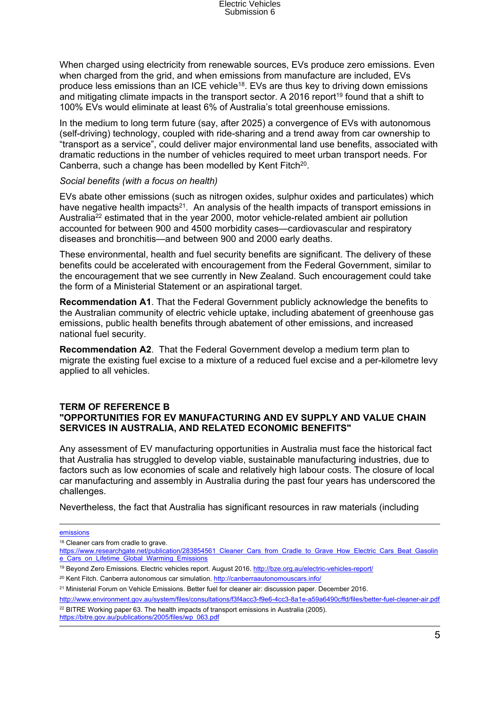When charged using electricity from renewable sources, EVs produce zero emissions. Even when charged from the grid, and when emissions from manufacture are included, EVs produce less emissions than an ICE vehicle<sup>18</sup>. EVs are thus key to driving down emissions and mitigating climate impacts in the transport sector. A 2016 report<sup>19</sup> found that a shift to 100% EVs would eliminate at least 6% of Australia's total greenhouse emissions.

In the medium to long term future (say, after 2025) a convergence of EVs with autonomous (self-driving) technology, coupled with ride-sharing and a trend away from car ownership to "transport as a service", could deliver major environmental land use benefits, associated with dramatic reductions in the number of vehicles required to meet urban transport needs. For Canberra, such a change has been modelled by Kent Fitch<sup>20</sup>.

#### *Social benefits (with a focus on health)*

EVs abate other emissions (such as nitrogen oxides, sulphur oxides and particulates) which have negative health impacts<sup>21</sup>. An analysis of the health impacts of transport emissions in Australia<sup>22</sup> estimated that in the year 2000, motor vehicle-related ambient air pollution accounted for between 900 and 4500 morbidity cases—cardiovascular and respiratory diseases and bronchitis—and between 900 and 2000 early deaths.

These environmental, health and fuel security benefits are significant. The delivery of these benefits could be accelerated with encouragement from the Federal Government, similar to the encouragement that we see currently in New Zealand. Such encouragement could take the form of a Ministerial Statement or an aspirational target.

**Recommendation A1**. That the Federal Government publicly acknowledge the benefits to the Australian community of electric vehicle uptake, including abatement of greenhouse gas emissions, public health benefits through abatement of other emissions, and increased national fuel security.

**Recommendation A2**. That the Federal Government develop a medium term plan to migrate the existing fuel excise to a mixture of a reduced fuel excise and a per-kilometre levy applied to all vehicles.

#### **TERM OF REFERENCE B "OPPORTUNITIES FOR EV MANUFACTURING AND EV SUPPLY AND VALUE CHAIN SERVICES IN AUSTRALIA, AND RELATED ECONOMIC BENEFITS"**

Any assessment of EV manufacturing opportunities in Australia must face the historical fact that Australia has struggled to develop viable, sustainable manufacturing industries, due to factors such as low economies of scale and relatively high labour costs. The closure of local car manufacturing and assembly in Australia during the past four years has underscored the challenges.

Nevertheless, the fact that Australia has significant resources in raw materials (including

[emissions](https://www.yoursay.act.gov.au/zero-emissions)

[https://bitre.gov.au/publications/2005/files/wp\\_063.pdf](https://bitre.gov.au/publications/2005/files/wp_063.pdf)

<sup>&</sup>lt;sup>18</sup> Cleaner cars from cradle to grave.

[https://www.researchgate.net/publication/283854561\\_Cleaner\\_Cars\\_from\\_Cradle\\_to\\_Grave\\_How\\_Electric\\_Cars\\_Beat\\_Gasolin](https://www.researchgate.net/publication/283854561_Cleaner_Cars_from_Cradle_to_Grave_How_Electric_Cars_Beat_Gasoline_Cars_on_Lifetime_Global_Warming_Emissions) [e\\_Cars\\_on\\_Lifetime\\_Global\\_Warming\\_Emissions](https://www.researchgate.net/publication/283854561_Cleaner_Cars_from_Cradle_to_Grave_How_Electric_Cars_Beat_Gasoline_Cars_on_Lifetime_Global_Warming_Emissions)

<sup>19</sup> Beyond Zero Emissions. Electric vehicles report. August 2016. <http://bze.org.au/electric-vehicles-report/>

<sup>&</sup>lt;sup>20</sup> Kent Fitch. Canberra autonomous car simulation. <http://canberraautonomouscars.info/>

<sup>21</sup> Ministerial Forum on Vehicle Emissions. Better fuel for cleaner air: discussion paper. December 2016.

<http://www.environment.gov.au/system/files/consultations/f3f4acc3-f9e6-4cc3-8a1e-a59a6490cffd/files/better-fuel-cleaner-air.pdf> <sup>22</sup> BITRE Working paper 63. The health impacts of transport emissions in Australia (2005).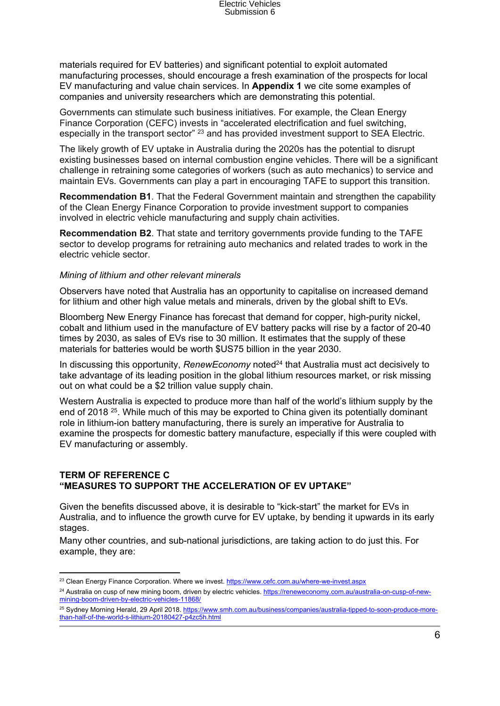materials required for EV batteries) and significant potential to exploit automated manufacturing processes, should encourage a fresh examination of the prospects for local EV manufacturing and value chain services. In **Appendix 1** we cite some examples of companies and university researchers which are demonstrating this potential.

Governments can stimulate such business initiatives. For example, the Clean Energy Finance Corporation (CEFC) invests in "accelerated electrification and fuel switching, especially in the transport sector" <sup>23</sup> and has provided investment support to SEA Electric.

The likely growth of EV uptake in Australia during the 2020s has the potential to disrupt existing businesses based on internal combustion engine vehicles. There will be a significant challenge in retraining some categories of workers (such as auto mechanics) to service and maintain EVs. Governments can play a part in encouraging TAFE to support this transition.

**Recommendation B1**. That the Federal Government maintain and strengthen the capability of the Clean Energy Finance Corporation to provide investment support to companies involved in electric vehicle manufacturing and supply chain activities.

**Recommendation B2**. That state and territory governments provide funding to the TAFE sector to develop programs for retraining auto mechanics and related trades to work in the electric vehicle sector.

#### *Mining of lithium and other relevant minerals*

Observers have noted that Australia has an opportunity to capitalise on increased demand for lithium and other high value metals and minerals, driven by the global shift to EVs.

Bloomberg New Energy Finance has forecast that demand for copper, high-purity nickel, cobalt and lithium used in the manufacture of EV battery packs will rise by a factor of 20-40 times by 2030, as sales of EVs rise to 30 million. It estimates that the supply of these materials for batteries would be worth \$US75 billion in the year 2030.

In discussing this opportunity, *RenewEconomy* noted<sup>24</sup> that Australia must act decisively to take advantage of its leading position in the global lithium resources market, or risk missing out on what could be a \$2 trillion value supply chain.

Western Australia is expected to produce more than half of the world's lithium supply by the end of 2018<sup>25</sup>. While much of this may be exported to China given its potentially dominant role in lithium-ion battery manufacturing, there is surely an imperative for Australia to examine the prospects for domestic battery manufacture, especially if this were coupled with EV manufacturing or assembly.

#### **TERM OF REFERENCE C "MEASURES TO SUPPORT THE ACCELERATION OF EV UPTAKE"**

Given the benefits discussed above, it is desirable to "kick-start" the market for EVs in Australia, and to influence the growth curve for EV uptake, by bending it upwards in its early stages.

Many other countries, and sub-national jurisdictions, are taking action to do just this. For example, they are:

<sup>&</sup>lt;sup>23</sup> Clean Energy Finance Corporation. Where we invest. <https://www.cefc.com.au/where-we-invest.aspx>

<sup>&</sup>lt;sup>24</sup> Australia on cusp of new mining boom, driven by electric vehicles. [https://reneweconomy.com.au/australia-on-cusp-of-new](https://reneweconomy.com.au/australia-on-cusp-of-new-mining-boom-driven-by-electric-vehicles-11868/)[mining-boom-driven-by-electric-vehicles-11868/](https://reneweconomy.com.au/australia-on-cusp-of-new-mining-boom-driven-by-electric-vehicles-11868/)

<sup>25</sup> Sydney Morning Herald, 29 April 2018. [https://www.smh.com.au/business/companies/australia-tipped-to-soon-produce-more](https://www.smh.com.au/business/companies/australia-tipped-to-soon-produce-more-than-half-of-the-world-s-lithium-20180427-p4zc5h.html)[than-half-of-the-world-s-lithium-20180427-p4zc5h.html](https://www.smh.com.au/business/companies/australia-tipped-to-soon-produce-more-than-half-of-the-world-s-lithium-20180427-p4zc5h.html)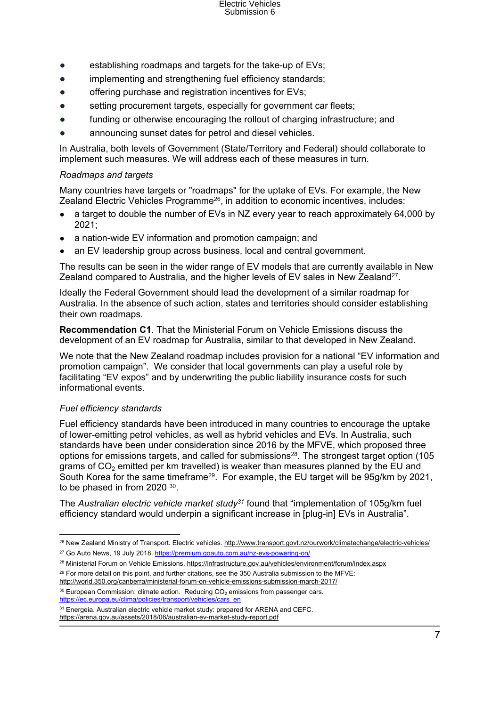- establishing roadmaps and targets for the take-up of EVs;
- implementing and strengthening fuel efficiency standards;
- offering purchase and registration incentives for EVs;
- setting procurement targets, especially for government car fleets;
- funding or otherwise encouraging the rollout of charging infrastructure; and
- announcing sunset dates for petrol and diesel vehicles.

In Australia, both levels of Government (State/Territory and Federal) should collaborate to implement such measures. We will address each of these measures in turn.

#### *Roadmaps and targets*

Many countries have targets or "roadmaps" for the uptake of EVs. For example, the New Zealand Electric Vehicles Programme<sup>26</sup>, in addition to economic incentives, includes:

- a target to double the number of EVs in NZ every year to reach approximately 64,000 by 2021;
- a nation-wide EV information and promotion campaign; and
- an EV leadership group across business, local and central government.

The results can be seen in the wider range of EV models that are currently available in New Zealand compared to Australia, and the higher levels of EV sales in New Zealand<sup>27</sup>.

Ideally the Federal Government should lead the development of a similar roadmap for Australia. In the absence of such action, states and territories should consider establishing their own roadmaps.

**Recommendation C1**. That the Ministerial Forum on Vehicle Emissions discuss the development of an EV roadmap for Australia, similar to that developed in New Zealand.

We note that the New Zealand roadmap includes provision for a national "EV information and promotion campaign". We consider that local governments can play a useful role by facilitating "EV expos" and by underwriting the public liability insurance costs for such informational events.

## *Fuel efficiency standards*

Fuel efficiency standards have been introduced in many countries to encourage the uptake of lower-emitting petrol vehicles, as well as hybrid vehicles and EVs. In Australia, such standards have been under consideration since 2016 by the MFVE, which proposed three options for emissions targets, and called for submissions<sup>28</sup>. The strongest target option (105 grams of  $CO<sub>2</sub>$  emitted per km travelled) is weaker than measures planned by the EU and South Korea for the same timeframe<sup>29</sup>. For example, the EU target will be 95g/km by 2021, to be phased in from 2020  $30$ .

The *Australian electric vehicle market study<sup>31</sup>* found that "implementation of 105g/km fuel efficiency standard would underpin a significant increase in [plug-in] EVs in Australia".

 $30$  European Commission: climate action. Reducing  $CO<sub>2</sub>$  emissions from passenger cars. [https://ec.europa.eu/clima/policies/transport/vehicles/cars\\_en](https://ec.europa.eu/clima/policies/transport/vehicles/cars_en)

<sup>31</sup> Energeia. Australian electric vehicle market study: prepared for ARENA and CEFC. <https://arena.gov.au/assets/2018/06/australian-ev-market-study-report.pdf>

<sup>&</sup>lt;sup>26</sup> New Zealand Ministry of Transport. Electric vehicles. <http://www.transport.govt.nz/ourwork/climatechange/electric-vehicles/> <sup>27</sup> Go Auto News, 19 July 2018. <https://premium.goauto.com.au/nz-evs-powering-on/>

<sup>28</sup> Ministerial Forum on Vehicle Emissions. <https://infrastructure.gov.au/vehicles/environment/forum/index.aspx>

<sup>&</sup>lt;sup>29</sup> For more detail on this point, and further citations, see the 350 Australia submission to the MFVE: <http://world.350.org/canberra/ministerial-forum-on-vehicle-emissions-submission-march-2017/>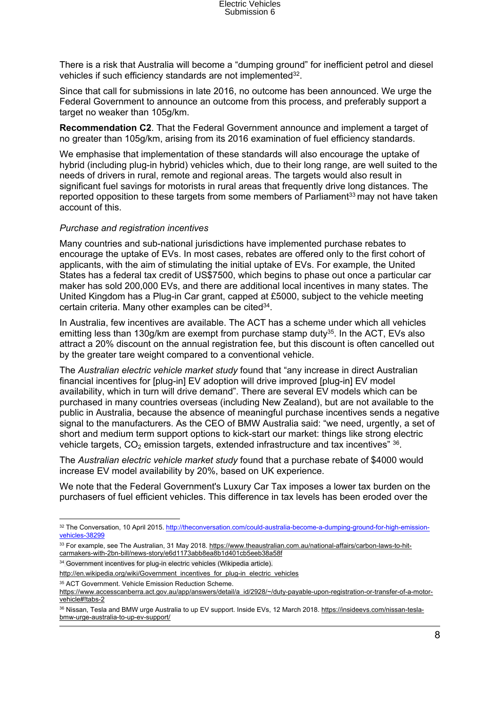There is a risk that Australia will become a "dumping ground" for inefficient petrol and diesel vehicles if such efficiency standards are not implemented<sup>32</sup>.

Since that call for submissions in late 2016, no outcome has been announced. We urge the Federal Government to announce an outcome from this process, and preferably support a target no weaker than 105g/km.

**Recommendation C2**. That the Federal Government announce and implement a target of no greater than 105g/km, arising from its 2016 examination of fuel efficiency standards.

We emphasise that implementation of these standards will also encourage the uptake of hybrid (including plug-in hybrid) vehicles which, due to their long range, are well suited to the needs of drivers in rural, remote and regional areas. The targets would also result in significant fuel savings for motorists in rural areas that frequently drive long distances. The reported opposition to these targets from some members of Parliament<sup>33</sup> may not have taken account of this.

#### *Purchase and registration incentives*

Many countries and sub-national jurisdictions have implemented purchase rebates to encourage the uptake of EVs. In most cases, rebates are offered only to the first cohort of applicants, with the aim of stimulating the initial uptake of EVs. For example, the United States has a federal tax credit of US\$7500, which begins to phase out once a particular car maker has sold 200,000 EVs, and there are additional local incentives in many states. The United Kingdom has a Plug-in Car grant, capped at £5000, subject to the vehicle meeting certain criteria. Many other examples can be cited<sup>34</sup>.

In Australia, few incentives are available. The ACT has a scheme under which all vehicles emitting less than 130g/km are exempt from purchase stamp duty<sup>35</sup>. In the ACT, EVs also attract a 20% discount on the annual registration fee, but this discount is often cancelled out by the greater tare weight compared to a conventional vehicle.

The *Australian electric vehicle market study* found that "any increase in direct Australian financial incentives for [plug-in] EV adoption will drive improved [plug-in] EV model availability, which in turn will drive demand". There are several EV models which can be purchased in many countries overseas (including New Zealand), but are not available to the public in Australia, because the absence of meaningful purchase incentives sends a negative signal to the manufacturers. As the CEO of BMW Australia said: "we need, urgently, a set of short and medium term support options to kick-start our market: things like strong electric vehicle targets,  $CO_2$  emission targets, extended infrastructure and tax incentives"  $^{36}$ .

The *Australian electric vehicle market study* found that a purchase rebate of \$4000 would increase EV model availability by 20%, based on UK experience.

We note that the Federal Government's Luxury Car Tax imposes a lower tax burden on the purchasers of fuel efficient vehicles. This difference in tax levels has been eroded over the

[http://en.wikipedia.org/wiki/Government\\_incentives\\_for\\_plug-in\\_electric\\_vehicles](http://en.wikipedia.org/wiki/Government_incentives_for_plug-in_electric_vehicles)

<sup>35</sup> ACT Government. Vehicle Emission Reduction Scheme.

<sup>32</sup> The Conversation, 10 April 2015. [http://theconversation.com/could-australia-become-a-dumping-ground-for-high-emission](http://theconversation.com/could-australia-become-a-dumping-ground-for-high-emission-vehicles-38299)[vehicles-38299](http://theconversation.com/could-australia-become-a-dumping-ground-for-high-emission-vehicles-38299)

<sup>33</sup> For example, see The Australian, 31 May 2018. [https://www.theaustralian.com.au/national-affairs/carbon-laws-to-hit](https://www.theaustralian.com.au/national-affairs/carbon-laws-to-hit-carmakers-with-2bn-bill/news-story/e6d1173abb8ea8b1d401cb5eeb38a58f)[carmakers-with-2bn-bill/news-story/e6d1173abb8ea8b1d401cb5eeb38a58f](https://www.theaustralian.com.au/national-affairs/carbon-laws-to-hit-carmakers-with-2bn-bill/news-story/e6d1173abb8ea8b1d401cb5eeb38a58f)

<sup>34</sup> Government incentives for plug-in electric vehicles (Wikipedia article).

[https://www.accesscanberra.act.gov.au/app/answers/detail/a\\_id/2928/~/duty-payable-upon-registration-or-transfer-of-a-motor](https://www.accesscanberra.act.gov.au/app/answers/detail/a_id/2928/~/duty-payable-upon-registration-or-transfer-of-a-motor-vehicle#!tabs-2)[vehicle#!tabs-2](https://www.accesscanberra.act.gov.au/app/answers/detail/a_id/2928/~/duty-payable-upon-registration-or-transfer-of-a-motor-vehicle#!tabs-2)

<sup>36</sup> Nissan, Tesla and BMW urge Australia to up EV support. Inside EVs, 12 March 2018. [https://insideevs.com/nissan-tesla](https://insideevs.com/nissan-tesla-bmw-urge-australia-to-up-ev-support/)[bmw-urge-australia-to-up-ev-support/](https://insideevs.com/nissan-tesla-bmw-urge-australia-to-up-ev-support/)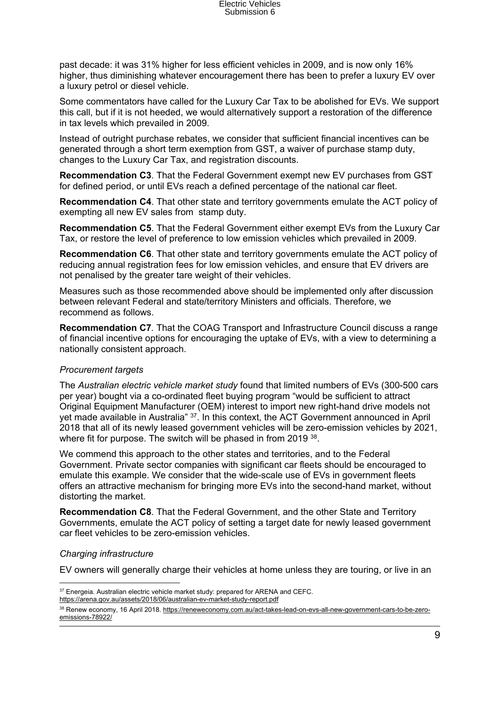past decade: it was 31% higher for less efficient vehicles in 2009, and is now only 16% higher, thus diminishing whatever encouragement there has been to prefer a luxury EV over a luxury petrol or diesel vehicle.

Some commentators have called for the Luxury Car Tax to be abolished for EVs. We support this call, but if it is not heeded, we would alternatively support a restoration of the difference in tax levels which prevailed in 2009.

Instead of outright purchase rebates, we consider that sufficient financial incentives can be generated through a short term exemption from GST, a waiver of purchase stamp duty, changes to the Luxury Car Tax, and registration discounts.

**Recommendation C3**. That the Federal Government exempt new EV purchases from GST for defined period, or until EVs reach a defined percentage of the national car fleet.

**Recommendation C4**. That other state and territory governments emulate the ACT policy of exempting all new EV sales from stamp duty.

**Recommendation C5**. That the Federal Government either exempt EVs from the Luxury Car Tax, or restore the level of preference to low emission vehicles which prevailed in 2009.

**Recommendation C6**. That other state and territory governments emulate the ACT policy of reducing annual registration fees for low emission vehicles, and ensure that EV drivers are not penalised by the greater tare weight of their vehicles.

Measures such as those recommended above should be implemented only after discussion between relevant Federal and state/territory Ministers and officials. Therefore, we recommend as follows.

**Recommendation C7***.* That the COAG Transport and Infrastructure Council discuss a range of financial incentive options for encouraging the uptake of EVs, with a view to determining a nationally consistent approach.

#### *Procurement targets*

The *Australian electric vehicle market study* found that limited numbers of EVs (300-500 cars per year) bought via a co-ordinated fleet buying program "would be sufficient to attract Original Equipment Manufacturer (OEM) interest to import new right-hand drive models not yet made available in Australia" <sup>37</sup>. In this context, the ACT Government announced in April 2018 that all of its newly leased government vehicles will be zero-emission vehicles by 2021, where fit for purpose. The switch will be phased in from 2019 38.

We commend this approach to the other states and territories, and to the Federal Government. Private sector companies with significant car fleets should be encouraged to emulate this example. We consider that the wide-scale use of EVs in government fleets offers an attractive mechanism for bringing more EVs into the second-hand market, without distorting the market.

**Recommendation C8**. That the Federal Government, and the other State and Territory Governments, emulate the ACT policy of setting a target date for newly leased government car fleet vehicles to be zero-emission vehicles.

#### *Charging infrastructure*

EV owners will generally charge their vehicles at home unless they are touring, or live in an

<sup>37</sup> Energeia. Australian electric vehicle market study: prepared for ARENA and CEFC.

<https://arena.gov.au/assets/2018/06/australian-ev-market-study-report.pdf>

<sup>38</sup> Renew economy, 16 April 2018. [https://reneweconomy.com.au/act-takes-lead-on-evs-all-new-government-cars-to-be-zero](https://reneweconomy.com.au/act-takes-lead-on-evs-all-new-government-cars-to-be-zero-emissions-78922/)[emissions-78922/](https://reneweconomy.com.au/act-takes-lead-on-evs-all-new-government-cars-to-be-zero-emissions-78922/)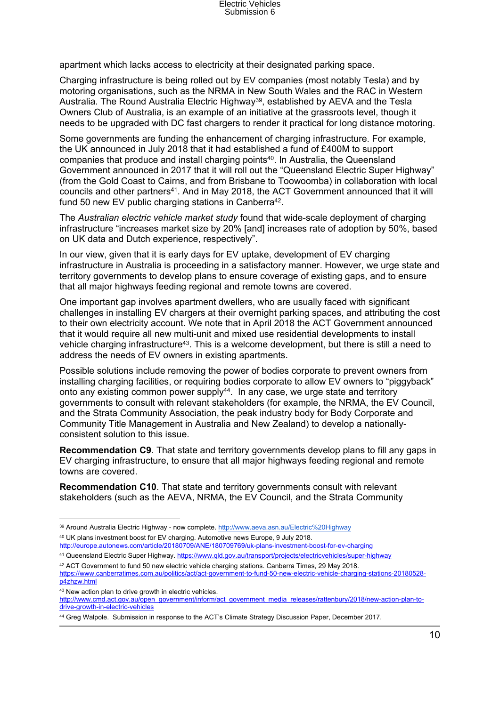apartment which lacks access to electricity at their designated parking space.

Charging infrastructure is being rolled out by EV companies (most notably Tesla) and by motoring organisations, such as the NRMA in New South Wales and the RAC in Western Australia. The Round Australia Electric Highway<sup>39</sup>, established by AEVA and the Tesla Owners Club of Australia, is an example of an initiative at the grassroots level, though it needs to be upgraded with DC fast chargers to render it practical for long distance motoring.

Some governments are funding the enhancement of charging infrastructure. For example, the UK announced in July 2018 that it had established a fund of £400M to support companies that produce and install charging points<sup>40</sup>. In Australia, the Queensland Government announced in 2017 that it will roll out the "Queensland Electric Super Highway" (from the Gold Coast to Cairns, and from Brisbane to Toowoomba) in collaboration with local councils and other partners<sup>41</sup>. And in May 2018, the ACT Government announced that it will fund 50 new EV public charging stations in Canberra<sup>42</sup>.

The *Australian electric vehicle market study* found that wide-scale deployment of charging infrastructure "increases market size by 20% [and] increases rate of adoption by 50%, based on UK data and Dutch experience, respectively".

In our view, given that it is early days for EV uptake, development of EV charging infrastructure in Australia is proceeding in a satisfactory manner. However, we urge state and territory governments to develop plans to ensure coverage of existing gaps, and to ensure that all major highways feeding regional and remote towns are covered.

One important gap involves apartment dwellers, who are usually faced with significant challenges in installing EV chargers at their overnight parking spaces, and attributing the cost to their own electricity account. We note that in April 2018 the ACT Government announced that it would require all new multi-unit and mixed use residential developments to install vehicle charging infrastructure<sup>43</sup>. This is a welcome development, but there is still a need to address the needs of EV owners in existing apartments.

Possible solutions include removing the power of bodies corporate to prevent owners from installing charging facilities, or requiring bodies corporate to allow EV owners to "piggyback" onto any existing common power supply<sup>44</sup>. In any case, we urge state and territory governments to consult with relevant stakeholders (for example, the NRMA, the EV Council, and the Strata Community Association, the peak industry body for Body Corporate and Community Title Management in Australia and New Zealand) to develop a nationallyconsistent solution to this issue.

**Recommendation C9**. That state and territory governments develop plans to fill any gaps in EV charging infrastructure, to ensure that all major highways feeding regional and remote towns are covered.

**Recommendation C10**. That state and territory governments consult with relevant stakeholders (such as the AEVA, NRMA, the EV Council, and the Strata Community

<http://europe.autonews.com/article/20180709/ANE/180709769/uk-plans-investment-boost-for-ev-charging> <sup>41</sup> Queensland Electric Super Highway. <https://www.qld.gov.au/transport/projects/electricvehicles/super-highway>

<sup>39</sup> Around Australia Electric Highway - now complete. <http://www.aeva.asn.au/Electric%20Highway> <sup>40</sup> UK plans investment boost for EV charging. Automotive news Europe, 9 July 2018.

<sup>42</sup> ACT Government to fund 50 new electric vehicle charging stations. Canberra Times, 29 May 2018. [https://www.canberratimes.com.au/politics/act/act-government-to-fund-50-new-electric-vehicle-charging-stations-20180528](https://www.canberratimes.com.au/politics/act/act-government-to-fund-50-new-electric-vehicle-charging-stations-20180528-p4zhzw.html) [p4zhzw.html](https://www.canberratimes.com.au/politics/act/act-government-to-fund-50-new-electric-vehicle-charging-stations-20180528-p4zhzw.html)

<sup>43</sup> New action plan to drive growth in electric vehicles.

[http://www.cmd.act.gov.au/open\\_government/inform/act\\_government\\_media\\_releases/rattenbury/2018/new-action-plan-to](http://www.cmd.act.gov.au/open_government/inform/act_government_media_releases/rattenbury/2018/new-action-plan-to-drive-growth-in-electric-vehicles)[drive-growth-in-electric-vehicles](http://www.cmd.act.gov.au/open_government/inform/act_government_media_releases/rattenbury/2018/new-action-plan-to-drive-growth-in-electric-vehicles)

<sup>44</sup> Greg Walpole. Submission in response to the ACT's Climate Strategy Discussion Paper, December 2017.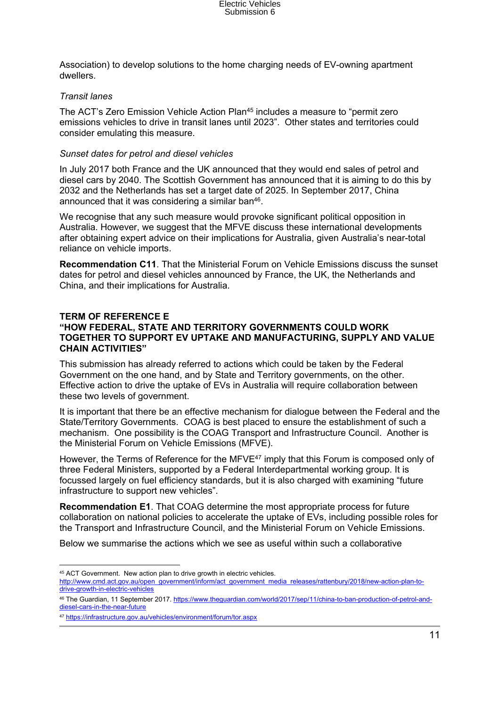Association) to develop solutions to the home charging needs of EV-owning apartment dwellers.

#### *Transit lanes*

The ACT's Zero Emission Vehicle Action Plan<sup>45</sup> includes a measure to "permit zero emissions vehicles to drive in transit lanes until 2023". Other states and territories could consider emulating this measure.

#### *Sunset dates for petrol and diesel vehicles*

In July 2017 both France and the UK announced that they would end sales of petrol and diesel cars by 2040. The Scottish Government has announced that it is aiming to do this by 2032 and the Netherlands has set a target date of 2025. In September 2017, China announced that it was considering a similar ban<sup>46</sup>.

We recognise that any such measure would provoke significant political opposition in Australia. However, we suggest that the MFVE discuss these international developments after obtaining expert advice on their implications for Australia, given Australia's near-total reliance on vehicle imports.

**Recommendation C11**. That the Ministerial Forum on Vehicle Emissions discuss the sunset dates for petrol and diesel vehicles announced by France, the UK, the Netherlands and China, and their implications for Australia.

#### **TERM OF REFERENCE E**

## **"HOW FEDERAL, STATE AND TERRITORY GOVERNMENTS COULD WORK TOGETHER TO SUPPORT EV UPTAKE AND MANUFACTURING, SUPPLY AND VALUE CHAIN ACTIVITIES"**

This submission has already referred to actions which could be taken by the Federal Government on the one hand, and by State and Territory governments, on the other. Effective action to drive the uptake of EVs in Australia will require collaboration between these two levels of government.

It is important that there be an effective mechanism for dialogue between the Federal and the State/Territory Governments. COAG is best placed to ensure the establishment of such a mechanism. One possibility is the COAG Transport and Infrastructure Council. Another is the Ministerial Forum on Vehicle Emissions (MFVE).

However, the Terms of Reference for the MFVE<sup>47</sup> imply that this Forum is composed only of three Federal Ministers, supported by a Federal Interdepartmental working group. It is focussed largely on fuel efficiency standards, but it is also charged with examining "future infrastructure to support new vehicles".

**Recommendation E1**. That COAG determine the most appropriate process for future collaboration on national policies to accelerate the uptake of EVs, including possible roles for the Transport and Infrastructure Council, and the Ministerial Forum on Vehicle Emissions.

Below we summarise the actions which we see as useful within such a collaborative

<sup>45</sup> ACT Government. New action plan to drive growth in electric vehicles. [http://www.cmd.act.gov.au/open\\_government/inform/act\\_government\\_media\\_releases/rattenbury/2018/new-action-plan-to](http://www.cmd.act.gov.au/open_government/inform/act_government_media_releases/rattenbury/2018/new-action-plan-to-drive-growth-in-electric-vehicles)[drive-growth-in-electric-vehicles](http://www.cmd.act.gov.au/open_government/inform/act_government_media_releases/rattenbury/2018/new-action-plan-to-drive-growth-in-electric-vehicles)

<sup>46</sup> The Guardian, 11 September 2017. [https://www.theguardian.com/world/2017/sep/11/china-to-ban-production-of-petrol-and](https://www.theguardian.com/world/2017/sep/11/china-to-ban-production-of-petrol-and-diesel-cars-in-the-near-future)[diesel-cars-in-the-near-future](https://www.theguardian.com/world/2017/sep/11/china-to-ban-production-of-petrol-and-diesel-cars-in-the-near-future)

<sup>47</sup> <https://infrastructure.gov.au/vehicles/environment/forum/tor.aspx>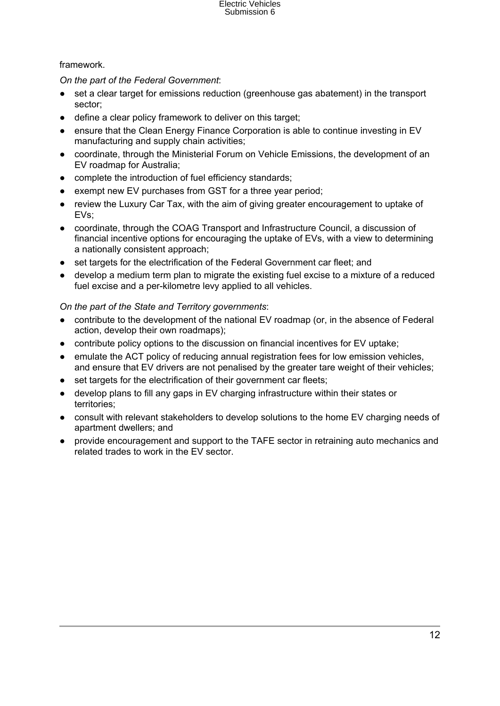## framework.

*On the part of the Federal Government*:

- set a clear target for emissions reduction (greenhouse gas abatement) in the transport sector;
- define a clear policy framework to deliver on this target;
- ensure that the Clean Energy Finance Corporation is able to continue investing in EV manufacturing and supply chain activities;
- coordinate, through the Ministerial Forum on Vehicle Emissions, the development of an EV roadmap for Australia;
- complete the introduction of fuel efficiency standards;
- exempt new EV purchases from GST for a three year period;
- review the Luxury Car Tax, with the aim of giving greater encouragement to uptake of EVs;
- coordinate, through the COAG Transport and Infrastructure Council, a discussion of financial incentive options for encouraging the uptake of EVs, with a view to determining a nationally consistent approach;
- set targets for the electrification of the Federal Government car fleet: and
- develop a medium term plan to migrate the existing fuel excise to a mixture of a reduced fuel excise and a per-kilometre levy applied to all vehicles.

*On the part of the State and Territory governments*:

- contribute to the development of the national EV roadmap (or, in the absence of Federal action, develop their own roadmaps);
- contribute policy options to the discussion on financial incentives for EV uptake:
- emulate the ACT policy of reducing annual registration fees for low emission vehicles, and ensure that EV drivers are not penalised by the greater tare weight of their vehicles;
- set targets for the electrification of their government car fleets;
- develop plans to fill any gaps in EV charging infrastructure within their states or territories;
- consult with relevant stakeholders to develop solutions to the home EV charging needs of apartment dwellers; and
- provide encouragement and support to the TAFE sector in retraining auto mechanics and related trades to work in the EV sector.